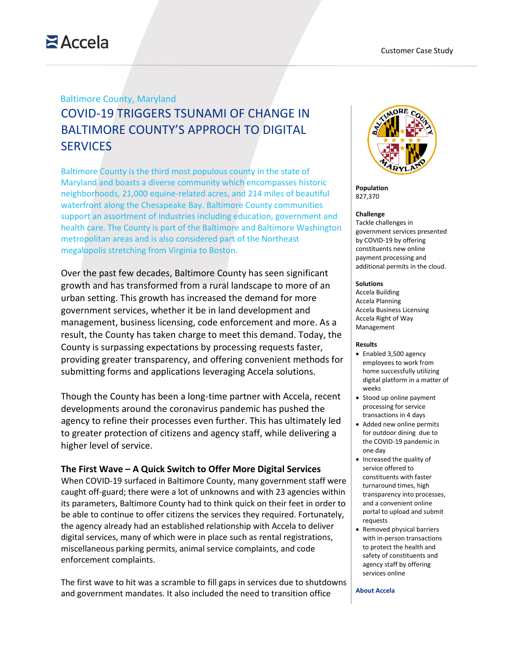# $Accela$

# Baltimore County, Maryland COVID-19 TRIGGERS TSUNAMI OF CHANGE IN BALTIMORE COUNTY'S APPROCH TO DIGITAL **SERVICES**

Baltimore County is the third most populous county in the state of Maryland and boasts a diverse community which encompasses historic neighborhoods, 21,000 equine-related acres, and 214 miles of beautiful waterfront along the Chesapeake Bay. Baltimore County communities support an assortment of industries including education, government and health care. The County is part of the Baltimore and Baltimore Washington metropolitan areas and is also considered part of the Northeast megalopolis stretching from Virginia to Boston.

Over the past few decades, Baltimore County has seen significant growth and has transformed from a rural landscape to more of an urban setting. This growth has increased the demand for more government services, whether it be in land development and management, business licensing, code enforcement and more. As a result, the County has taken charge to meet this demand. Today, the County is surpassing expectations by processing requests faster, providing greater transparency, and offering convenient methods for submitting forms and applications leveraging Accela solutions.

Though the County has been a long-time partner with Accela, recent developments around the coronavirus pandemic has pushed the agency to refine their processes even further. This has ultimately led to greater protection of citizens and agency staff, while delivering a higher level of service.

### **The First Wave – A Quick Switch to Offer More Digital Services**

When COVID-19 surfaced in Baltimore County, many government staff were caught off-guard; there were a lot of unknowns and with 23 agencies within its parameters, Baltimore County had to think quick on their feet in order to be able to continue to offer citizens the services they required. Fortunately, the agency already had an established relationship with Accela to deliver digital services, many of which were in place such as rental registrations, miscellaneous parking permits, animal service complaints, and code enforcement complaints.

The first wave to hit was a scramble to fill gaps in services due to shutdowns and government mandates. It also included the need to transition office



**Population** 827,370

### **Challenge**

Tackle challenges in government services presented by COVID-19 by offering constituents new online payment processing and additional permits in the cloud.

### **Solutions**

Accela Building Accela Planning Accela Business Licensing Accela Right of Way Management

### **Results**

- Enabled 3,500 agency employees to work from home successfully utilizing digital platform in a matter of weeks
- Stood up online payment processing for service transactions in 4 days
- Added new online permits for outdoor dining due to the COVID-19 pandemic in one day
- Increased the quality of service offered to constituents with faster turnaround times, high transparency into processes, and a convenient online portal to upload and submit requests
- Removed physical barriers with in-person transactions to protect the health and safety of constituents and agency staff by offering services online

#### **About Accela**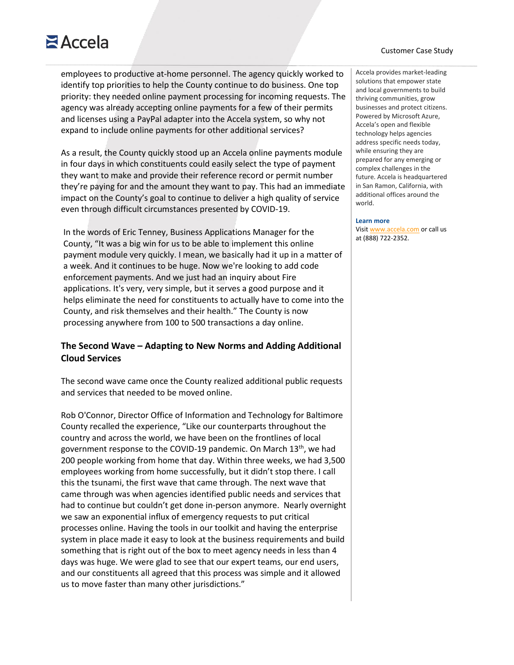# $Accela$

employees to productive at-home personnel. The agency quickly worked to identify top priorities to help the County continue to do business. One top priority: they needed online payment processing for incoming requests. The agency was already accepting online payments for a few of their permits and licenses using a PayPal adapter into the Accela system, so why not expand to include online payments for other additional services?

As a result, the County quickly stood up an Accela online payments module in four days in which constituents could easily select the type of payment they want to make and provide their reference record or permit number they're paying for and the amount they want to pay. This had an immediate impact on the County's goal to continue to deliver a high quality of service even through difficult circumstances presented by COVID-19.

• In the words of Eric Tenney, Business Applications Manager for the County, "It was a big win for us to be able to implement this online payment module very quickly. I mean, we basically had it up in a matter of a week. And it continues to be huge. Now we're looking to add code enforcement payments. And we just had an inquiry about Fire applications. It's very, very simple, but it serves a good purpose and it helps eliminate the need for constituents to actually have to come into the County, and risk themselves and their health." The County is now processing anywhere from 100 to 500 transactions a day online.

## **The Second Wave – Adapting to New Norms and Adding Additional Cloud Services**

The second wave came once the County realized additional public requests and services that needed to be moved online.

Rob O'Connor, Director Office of Information and Technology for Baltimore County recalled the experience, "Like our counterparts throughout the country and across the world, we have been on the frontlines of local government response to the COVID-19 pandemic. On March 13<sup>th</sup>, we had 200 people working from home that day. Within three weeks, we had 3,500 employees working from home successfully, but it didn't stop there. I call this the tsunami, the first wave that came through. The next wave that came through was when agencies identified public needs and services that had to continue but couldn't get done in-person anymore. Nearly overnight we saw an exponential influx of emergency requests to put critical processes online. Having the tools in our toolkit and having the enterprise system in place made it easy to look at the business requirements and build something that is right out of the box to meet agency needs in less than 4 days was huge. We were glad to see that our expert teams, our end users, and our constituents all agreed that this process was simple and it allowed us to move faster than many other jurisdictions."

### Customer Case Study

Accela provides market-leading solutions that empower state and local governments to build thriving communities, grow businesses and protect citizens. Powered by Microsoft Azure, Accela's open and flexible technology helps agencies address specific needs today, while ensuring they are prepared for any emerging or complex challenges in the future. Accela is headquartered in San Ramon, California, with additional offices around the world.

#### **Learn more**

Visit [www.accela.com](http://www.accela.com/) or call us at (888) 722-2352.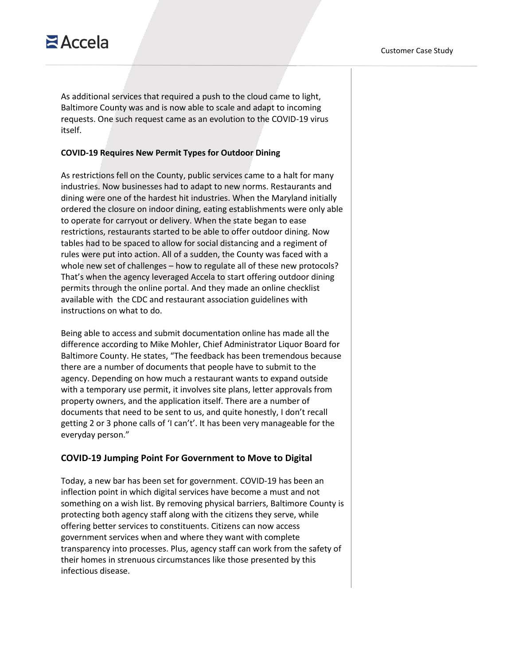As additional services that required a push to the cloud came to light, Baltimore County was and is now able to scale and adapt to incoming requests. One such request came as an evolution to the COVID-19 virus itself.

### **COVID-19 Requires New Permit Types for Outdoor Dining**

As restrictions fell on the County, public services came to a halt for many industries. Now businesses had to adapt to new norms. Restaurants and dining were one of the hardest hit industries. When the Maryland initially ordered the closure on indoor dining, eating establishments were only able to operate for carryout or delivery. When the state began to ease restrictions, restaurants started to be able to offer outdoor dining. Now tables had to be spaced to allow for social distancing and a regiment of rules were put into action. All of a sudden, the County was faced with a whole new set of challenges – how to regulate all of these new protocols? That's when the agency leveraged Accela to start offering outdoor dining permits through the online portal. And they made an online checklist available with the CDC and restaurant association guidelines with instructions on what to do.

Being able to access and submit documentation online has made all the difference according to Mike Mohler, Chief Administrator Liquor Board for Baltimore County. He states, "The feedback has been tremendous because there are a number of documents that people have to submit to the agency. Depending on how much a restaurant wants to expand outside with a temporary use permit, it involves site plans, letter approvals from property owners, and the application itself. There are a number of documents that need to be sent to us, and quite honestly, I don't recall getting 2 or 3 phone calls of 'I can't'. It has been very manageable for the everyday person."

### **COVID-19 Jumping Point For Government to Move to Digital**

Today, a new bar has been set for government. COVID-19 has been an inflection point in which digital services have become a must and not something on a wish list. By removing physical barriers, Baltimore County is protecting both agency staff along with the citizens they serve, while offering better services to constituents. Citizens can now access government services when and where they want with complete transparency into processes. Plus, agency staff can work from the safety of their homes in strenuous circumstances like those presented by this infectious disease.